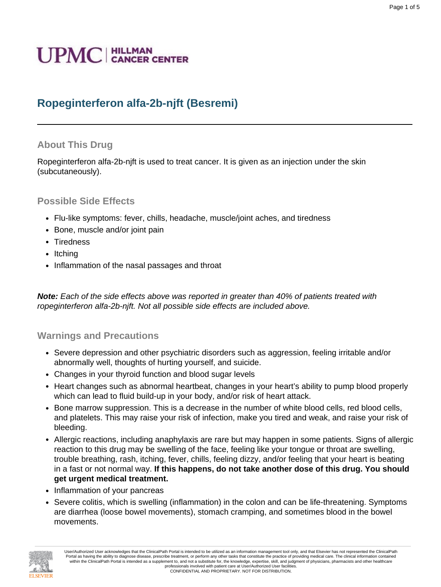# **UPMC** | HILLMAN

## **Ropeginterferon alfa-2b-njft (Besremi)**

#### **About This Drug**

Ropeginterferon alfa-2b-njft is used to treat cancer. It is given as an injection under the skin (subcutaneously).

#### **Possible Side Effects**

- Flu-like symptoms: fever, chills, headache, muscle/joint aches, and tiredness
- Bone, muscle and/or joint pain
- Tiredness
- Itching
- Inflammation of the nasal passages and throat

**Note:** Each of the side effects above was reported in greater than 40% of patients treated with ropeginterferon alfa-2b-njft. Not all possible side effects are included above.

#### **Warnings and Precautions**

- Severe depression and other psychiatric disorders such as aggression, feeling irritable and/or abnormally well, thoughts of hurting yourself, and suicide.
- Changes in your thyroid function and blood sugar levels
- Heart changes such as abnormal heartbeat, changes in your heart's ability to pump blood properly which can lead to fluid build-up in your body, and/or risk of heart attack.
- Bone marrow suppression. This is a decrease in the number of white blood cells, red blood cells, and platelets. This may raise your risk of infection, make you tired and weak, and raise your risk of bleeding.
- Allergic reactions, including anaphylaxis are rare but may happen in some patients. Signs of allergic reaction to this drug may be swelling of the face, feeling like your tongue or throat are swelling, trouble breathing, rash, itching, fever, chills, feeling dizzy, and/or feeling that your heart is beating in a fast or not normal way. **If this happens, do not take another dose of this drug. You should get urgent medical treatment.**
- Inflammation of your pancreas
- Severe colitis, which is swelling (inflammation) in the colon and can be life-threatening. Symptoms are diarrhea (loose bowel movements), stomach cramping, and sometimes blood in the bowel movements.



User/Authorized User acknowledges that the ClinicalPath Portal is intended to be utilized as an information management tool only, and that Elsevier has not represented the ClinicalPath Portal as having the ability to diagnose disease, prescribe treatment, or perform any other tasks that constitute the practice of providing medical care. The clinical information contained within the ClinicalPath Portal is intended as a supplement to, and not a substitute for, the knowledge, expertise, skill, and judgment of physicians, pharmacists and other healthcare professionals involved with patient care at User/Authorized User facilities. CONFIDENTIAL AND PROPRIETARY. NOT FOR DISTRIBUTION.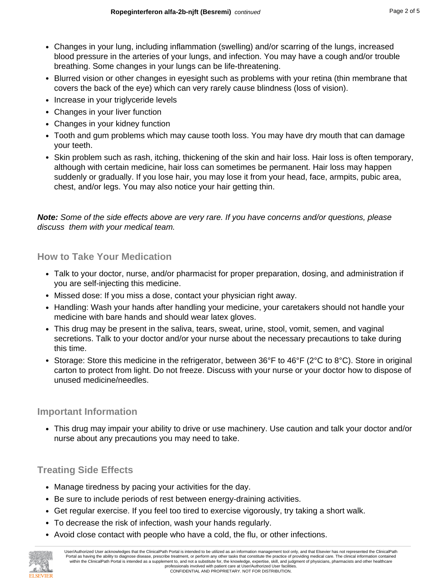- Changes in your lung, including inflammation (swelling) and/or scarring of the lungs, increased blood pressure in the arteries of your lungs, and infection. You may have a cough and/or trouble breathing. Some changes in your lungs can be life-threatening.
- Blurred vision or other changes in evesight such as problems with your retina (thin membrane that covers the back of the eye) which can very rarely cause blindness (loss of vision).
- Increase in your triglyceride levels
- Changes in your liver function
- Changes in your kidney function
- Tooth and gum problems which may cause tooth loss. You may have dry mouth that can damage your teeth.
- Skin problem such as rash, itching, thickening of the skin and hair loss. Hair loss is often temporary, although with certain medicine, hair loss can sometimes be permanent. Hair loss may happen suddenly or gradually. If you lose hair, you may lose it from your head, face, armpits, pubic area, chest, and/or legs. You may also notice your hair getting thin.

**Note:** Some of the side effects above are very rare. If you have concerns and/or questions, please discuss them with your medical team.

#### **How to Take Your Medication**

- Talk to your doctor, nurse, and/or pharmacist for proper preparation, dosing, and administration if you are self-injecting this medicine.
- Missed dose: If you miss a dose, contact your physician right away.
- Handling: Wash your hands after handling your medicine, your caretakers should not handle your medicine with bare hands and should wear latex gloves.
- This drug may be present in the saliva, tears, sweat, urine, stool, vomit, semen, and vaginal secretions. Talk to your doctor and/or your nurse about the necessary precautions to take during this time.
- Storage: Store this medicine in the refrigerator, between 36°F to 46°F (2°C to 8°C). Store in original carton to protect from light. Do not freeze. Discuss with your nurse or your doctor how to dispose of unused medicine/needles.

#### **Important Information**

• This drug may impair your ability to drive or use machinery. Use caution and talk your doctor and/or nurse about any precautions you may need to take.

#### **Treating Side Effects**

- Manage tiredness by pacing your activities for the day.
- Be sure to include periods of rest between energy-draining activities.
- Get regular exercise. If you feel too tired to exercise vigorously, try taking a short walk.
- To decrease the risk of infection, wash your hands regularly.
- Avoid close contact with people who have a cold, the flu, or other infections.

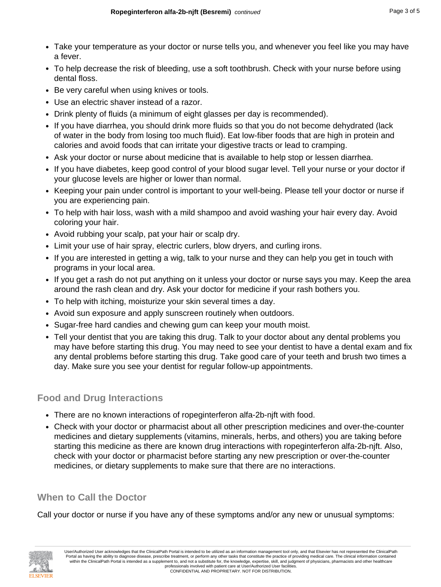- Take your temperature as your doctor or nurse tells you, and whenever you feel like you may have a fever.
- To help decrease the risk of bleeding, use a soft toothbrush. Check with your nurse before using dental floss.
- Be very careful when using knives or tools.
- Use an electric shaver instead of a razor.
- Drink plenty of fluids (a minimum of eight glasses per day is recommended).
- If you have diarrhea, you should drink more fluids so that you do not become dehydrated (lack of water in the body from losing too much fluid). Eat low-fiber foods that are high in protein and calories and avoid foods that can irritate your digestive tracts or lead to cramping.
- Ask your doctor or nurse about medicine that is available to help stop or lessen diarrhea.
- If you have diabetes, keep good control of your blood sugar level. Tell your nurse or your doctor if your glucose levels are higher or lower than normal.
- Keeping your pain under control is important to your well-being. Please tell your doctor or nurse if you are experiencing pain.
- To help with hair loss, wash with a mild shampoo and avoid washing your hair every day. Avoid coloring your hair.
- Avoid rubbing your scalp, pat your hair or scalp dry.
- Limit your use of hair spray, electric curlers, blow dryers, and curling irons.
- If you are interested in getting a wig, talk to your nurse and they can help you get in touch with programs in your local area.
- If you get a rash do not put anything on it unless your doctor or nurse says you may. Keep the area around the rash clean and dry. Ask your doctor for medicine if your rash bothers you.
- To help with itching, moisturize your skin several times a day.
- Avoid sun exposure and apply sunscreen routinely when outdoors.
- Sugar-free hard candies and chewing gum can keep your mouth moist.
- Tell your dentist that you are taking this drug. Talk to your doctor about any dental problems you may have before starting this drug. You may need to see your dentist to have a dental exam and fix any dental problems before starting this drug. Take good care of your teeth and brush two times a day. Make sure you see your dentist for regular follow-up appointments.

## **Food and Drug Interactions**

- There are no known interactions of ropeginterferon alfa-2b-njft with food.
- Check with your doctor or pharmacist about all other prescription medicines and over-the-counter medicines and dietary supplements (vitamins, minerals, herbs, and others) you are taking before starting this medicine as there are known drug interactions with ropeginterferon alfa-2b-njft. Also, check with your doctor or pharmacist before starting any new prescription or over-the-counter medicines, or dietary supplements to make sure that there are no interactions.

## **When to Call the Doctor**

Call your doctor or nurse if you have any of these symptoms and/or any new or unusual symptoms:

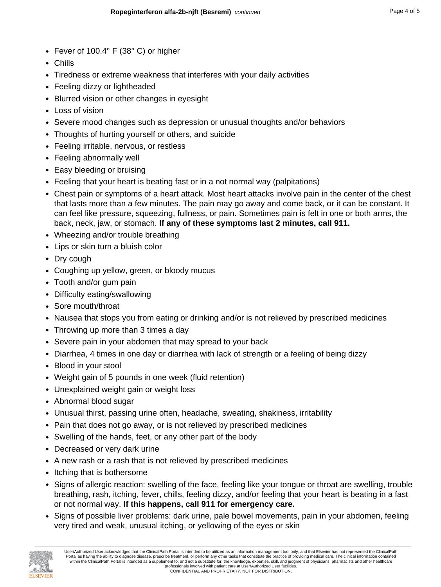- Fever of 100.4° F (38° C) or higher
- Chills
- Tiredness or extreme weakness that interferes with your daily activities
- Feeling dizzy or lightheaded
- Blurred vision or other changes in eyesight
- Loss of vision
- Severe mood changes such as depression or unusual thoughts and/or behaviors
- Thoughts of hurting yourself or others, and suicide
- Feeling irritable, nervous, or restless
- Feeling abnormally well
- Easy bleeding or bruising
- Feeling that your heart is beating fast or in a not normal way (palpitations)
- Chest pain or symptoms of a heart attack. Most heart attacks involve pain in the center of the chest that lasts more than a few minutes. The pain may go away and come back, or it can be constant. It can feel like pressure, squeezing, fullness, or pain. Sometimes pain is felt in one or both arms, the back, neck, jaw, or stomach. **If any of these symptoms last 2 minutes, call 911.**
- Wheezing and/or trouble breathing
- Lips or skin turn a bluish color
- Dry cough
- Coughing up yellow, green, or bloody mucus
- Tooth and/or gum pain
- Difficulty eating/swallowing
- Sore mouth/throat
- Nausea that stops you from eating or drinking and/or is not relieved by prescribed medicines
- Throwing up more than 3 times a day
- Severe pain in your abdomen that may spread to your back
- Diarrhea, 4 times in one day or diarrhea with lack of strength or a feeling of being dizzy
- Blood in your stool
- Weight gain of 5 pounds in one week (fluid retention)
- Unexplained weight gain or weight loss
- Abnormal blood sugar
- Unusual thirst, passing urine often, headache, sweating, shakiness, irritability
- Pain that does not go away, or is not relieved by prescribed medicines
- Swelling of the hands, feet, or any other part of the body
- Decreased or very dark urine
- A new rash or a rash that is not relieved by prescribed medicines
- Itching that is bothersome
- Signs of allergic reaction: swelling of the face, feeling like your tongue or throat are swelling, trouble breathing, rash, itching, fever, chills, feeling dizzy, and/or feeling that your heart is beating in a fast or not normal way. **If this happens, call 911 for emergency care.**
- Signs of possible liver problems: dark urine, pale bowel movements, pain in your abdomen, feeling very tired and weak, unusual itching, or yellowing of the eyes or skin